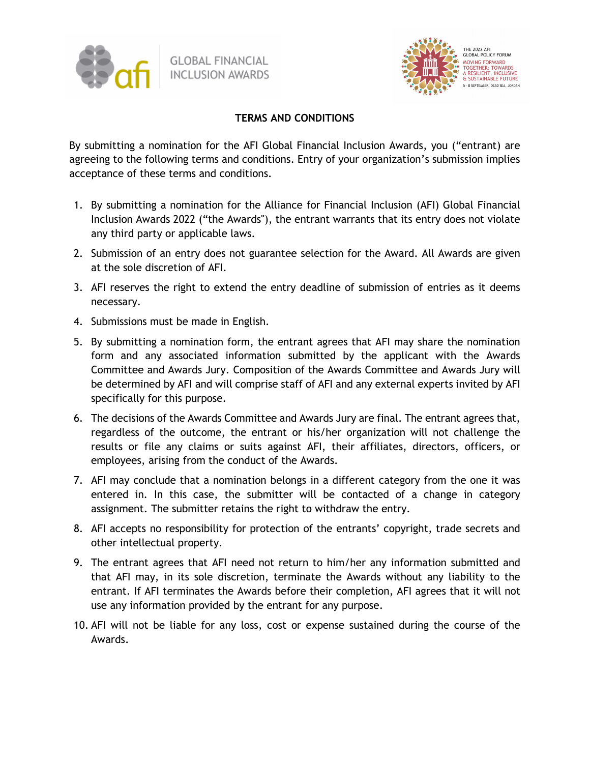



## **TERMS AND CONDITIONS**

By submitting a nomination for the AFI Global Financial Inclusion Awards, you ("entrant) are agreeing to the following terms and conditions. Entry of your organization's submission implies acceptance of these terms and conditions.

- 1. By submitting a nomination for the Alliance for Financial Inclusion (AFI) Global Financial Inclusion Awards 2022 ("the Awards"), the entrant warrants that its entry does not violate any third party or applicable laws.
- 2. Submission of an entry does not guarantee selection for the Award. All Awards are given at the sole discretion of AFI.
- 3. AFI reserves the right to extend the entry deadline of submission of entries as it deems necessary.
- 4. Submissions must be made in English.
- 5. By submitting a nomination form, the entrant agrees that AFI may share the nomination form and any associated information submitted by the applicant with the Awards Committee and Awards Jury. Composition of the Awards Committee and Awards Jury will be determined by AFI and will comprise staff of AFI and any external experts invited by AFI specifically for this purpose.
- 6. The decisions of the Awards Committee and Awards Jury are final. The entrant agrees that, regardless of the outcome, the entrant or his/her organization will not challenge the results or file any claims or suits against AFI, their affiliates, directors, officers, or employees, arising from the conduct of the Awards.
- 7. AFI may conclude that a nomination belongs in a different category from the one it was entered in. In this case, the submitter will be contacted of a change in category assignment. The submitter retains the right to withdraw the entry.
- 8. AFI accepts no responsibility for protection of the entrants' copyright, trade secrets and other intellectual property.
- 9. The entrant agrees that AFI need not return to him/her any information submitted and that AFI may, in its sole discretion, terminate the Awards without any liability to the entrant. If AFI terminates the Awards before their completion, AFI agrees that it will not use any information provided by the entrant for any purpose.
- 10. AFI will not be liable for any loss, cost or expense sustained during the course of the Awards.